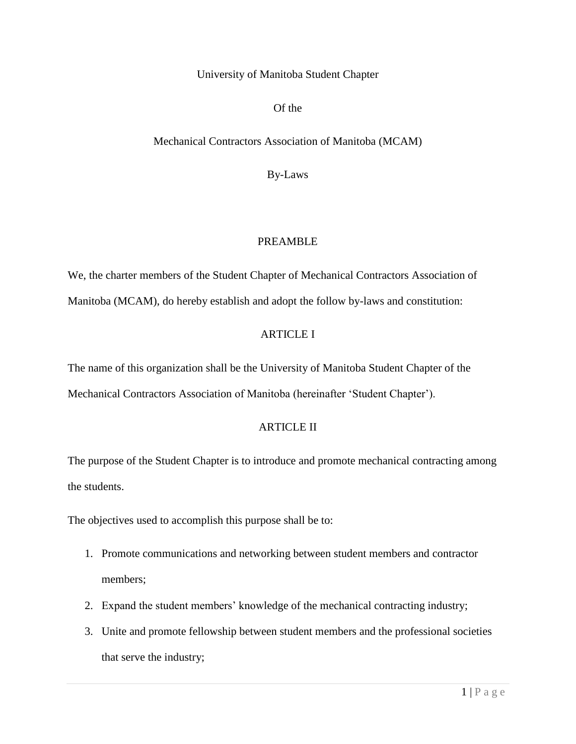University of Manitoba Student Chapter

Of the

Mechanical Contractors Association of Manitoba (MCAM)

By-Laws

## PREAMBLE

We, the charter members of the Student Chapter of Mechanical Contractors Association of Manitoba (MCAM), do hereby establish and adopt the follow by-laws and constitution:

### ARTICLE I

The name of this organization shall be the University of Manitoba Student Chapter of the Mechanical Contractors Association of Manitoba (hereinafter 'Student Chapter').

#### ARTICLE II

The purpose of the Student Chapter is to introduce and promote mechanical contracting among the students.

The objectives used to accomplish this purpose shall be to:

- 1. Promote communications and networking between student members and contractor members;
- 2. Expand the student members' knowledge of the mechanical contracting industry;
- 3. Unite and promote fellowship between student members and the professional societies that serve the industry;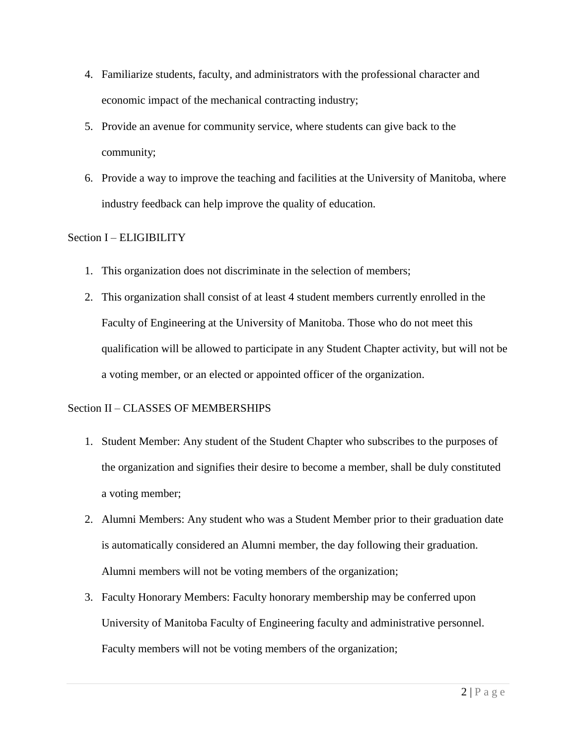- 4. Familiarize students, faculty, and administrators with the professional character and economic impact of the mechanical contracting industry;
- 5. Provide an avenue for community service, where students can give back to the community;
- 6. Provide a way to improve the teaching and facilities at the University of Manitoba, where industry feedback can help improve the quality of education.

## Section I – ELIGIBILITY

- 1. This organization does not discriminate in the selection of members;
- 2. This organization shall consist of at least 4 student members currently enrolled in the Faculty of Engineering at the University of Manitoba. Those who do not meet this qualification will be allowed to participate in any Student Chapter activity, but will not be a voting member, or an elected or appointed officer of the organization.

## Section II – CLASSES OF MEMBERSHIPS

- 1. Student Member: Any student of the Student Chapter who subscribes to the purposes of the organization and signifies their desire to become a member, shall be duly constituted a voting member;
- 2. Alumni Members: Any student who was a Student Member prior to their graduation date is automatically considered an Alumni member, the day following their graduation. Alumni members will not be voting members of the organization;
- 3. Faculty Honorary Members: Faculty honorary membership may be conferred upon University of Manitoba Faculty of Engineering faculty and administrative personnel. Faculty members will not be voting members of the organization;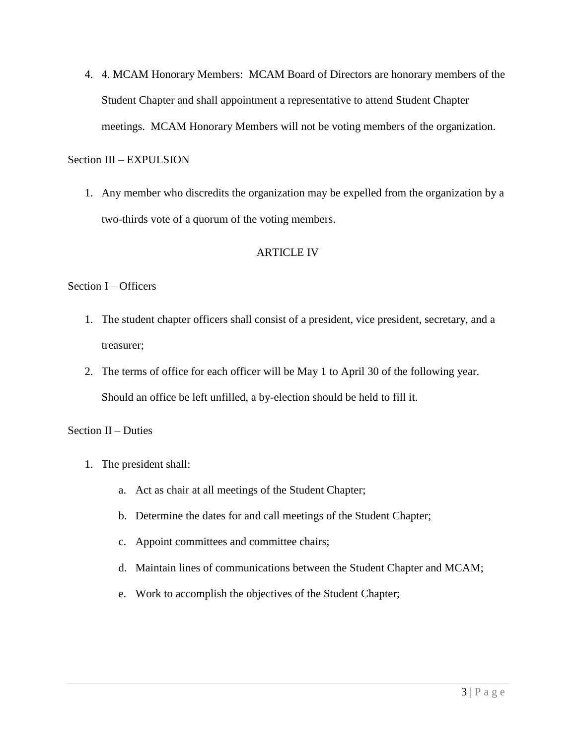4. 4. MCAM Honorary Members: MCAM Board of Directors are honorary members of the Student Chapter and shall appointment a representative to attend Student Chapter meetings. MCAM Honorary Members will not be voting members of the organization.

#### Section III – EXPULSION

1. Any member who discredits the organization may be expelled from the organization by a two-thirds vote of a quorum of the voting members.

### ARTICLE IV

### Section I – Officers

- 1. The student chapter officers shall consist of a president, vice president, secretary, and a treasurer;
- 2. The terms of office for each officer will be May 1 to April 30 of the following year. Should an office be left unfilled, a by-election should be held to fill it.

#### Section II – Duties

- 1. The president shall:
	- a. Act as chair at all meetings of the Student Chapter;
	- b. Determine the dates for and call meetings of the Student Chapter;
	- c. Appoint committees and committee chairs;
	- d. Maintain lines of communications between the Student Chapter and MCAM;
	- e. Work to accomplish the objectives of the Student Chapter;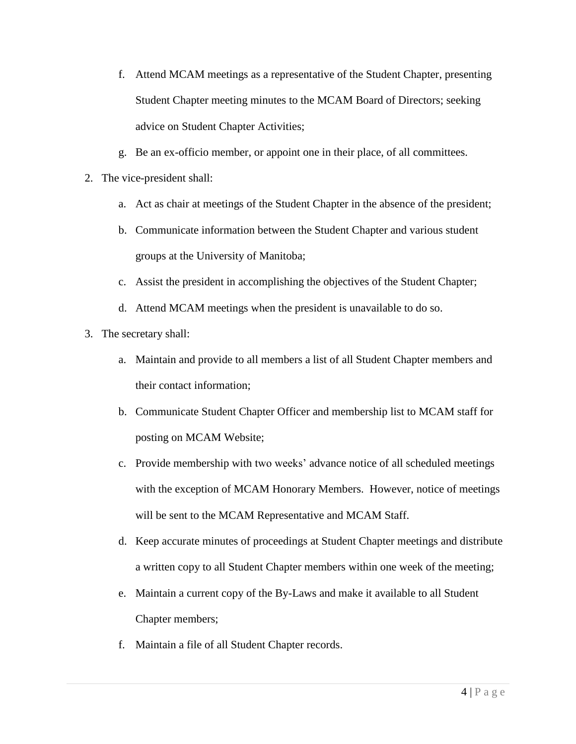- f. Attend MCAM meetings as a representative of the Student Chapter, presenting Student Chapter meeting minutes to the MCAM Board of Directors; seeking advice on Student Chapter Activities;
- g. Be an ex-officio member, or appoint one in their place, of all committees.
- 2. The vice-president shall:
	- a. Act as chair at meetings of the Student Chapter in the absence of the president;
	- b. Communicate information between the Student Chapter and various student groups at the University of Manitoba;
	- c. Assist the president in accomplishing the objectives of the Student Chapter;
	- d. Attend MCAM meetings when the president is unavailable to do so.
- 3. The secretary shall:
	- a. Maintain and provide to all members a list of all Student Chapter members and their contact information;
	- b. Communicate Student Chapter Officer and membership list to MCAM staff for posting on MCAM Website;
	- c. Provide membership with two weeks' advance notice of all scheduled meetings with the exception of MCAM Honorary Members. However, notice of meetings will be sent to the MCAM Representative and MCAM Staff.
	- d. Keep accurate minutes of proceedings at Student Chapter meetings and distribute a written copy to all Student Chapter members within one week of the meeting;
	- e. Maintain a current copy of the By-Laws and make it available to all Student Chapter members;
	- f. Maintain a file of all Student Chapter records.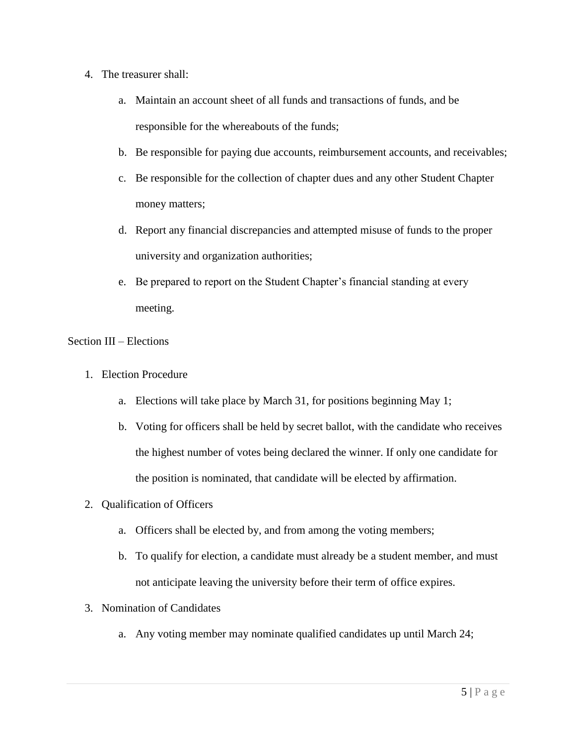- 4. The treasurer shall:
	- a. Maintain an account sheet of all funds and transactions of funds, and be responsible for the whereabouts of the funds;
	- b. Be responsible for paying due accounts, reimbursement accounts, and receivables;
	- c. Be responsible for the collection of chapter dues and any other Student Chapter money matters;
	- d. Report any financial discrepancies and attempted misuse of funds to the proper university and organization authorities;
	- e. Be prepared to report on the Student Chapter's financial standing at every meeting.

### Section III – Elections

- 1. Election Procedure
	- a. Elections will take place by March 31, for positions beginning May 1;
	- b. Voting for officers shall be held by secret ballot, with the candidate who receives the highest number of votes being declared the winner. If only one candidate for the position is nominated, that candidate will be elected by affirmation.
- 2. Qualification of Officers
	- a. Officers shall be elected by, and from among the voting members;
	- b. To qualify for election, a candidate must already be a student member, and must not anticipate leaving the university before their term of office expires.
- 3. Nomination of Candidates
	- a. Any voting member may nominate qualified candidates up until March 24;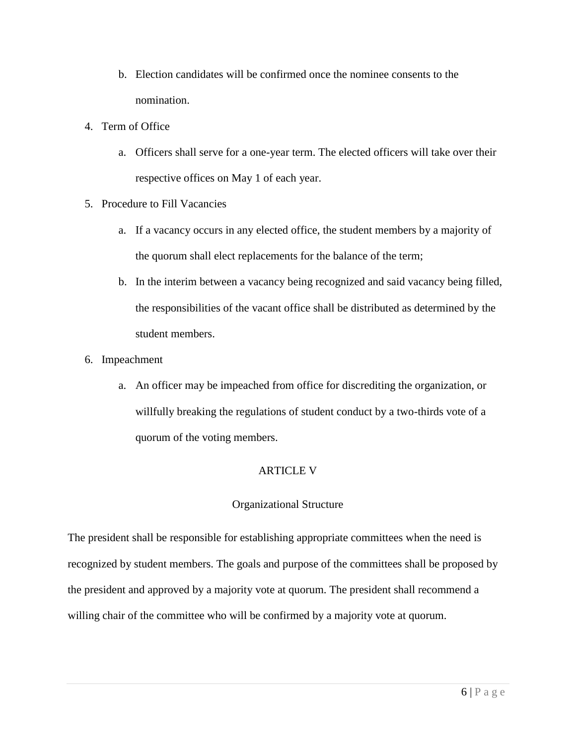- b. Election candidates will be confirmed once the nominee consents to the nomination.
- 4. Term of Office
	- a. Officers shall serve for a one-year term. The elected officers will take over their respective offices on May 1 of each year.
- 5. Procedure to Fill Vacancies
	- a. If a vacancy occurs in any elected office, the student members by a majority of the quorum shall elect replacements for the balance of the term;
	- b. In the interim between a vacancy being recognized and said vacancy being filled, the responsibilities of the vacant office shall be distributed as determined by the student members.
- 6. Impeachment
	- a. An officer may be impeached from office for discrediting the organization, or willfully breaking the regulations of student conduct by a two-thirds vote of a quorum of the voting members.

## ARTICLE V

## Organizational Structure

The president shall be responsible for establishing appropriate committees when the need is recognized by student members. The goals and purpose of the committees shall be proposed by the president and approved by a majority vote at quorum. The president shall recommend a willing chair of the committee who will be confirmed by a majority vote at quorum.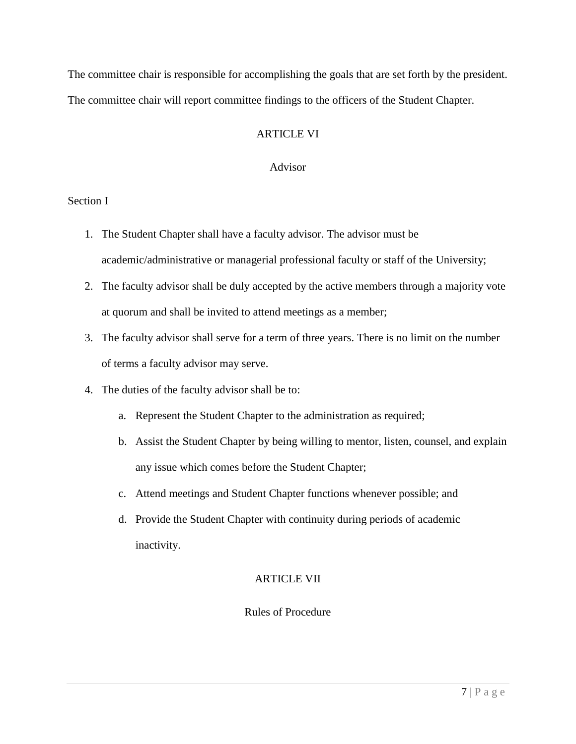The committee chair is responsible for accomplishing the goals that are set forth by the president. The committee chair will report committee findings to the officers of the Student Chapter.

# ARTICLE VI

## Advisor

## Section I

- 1. The Student Chapter shall have a faculty advisor. The advisor must be academic/administrative or managerial professional faculty or staff of the University;
- 2. The faculty advisor shall be duly accepted by the active members through a majority vote at quorum and shall be invited to attend meetings as a member;
- 3. The faculty advisor shall serve for a term of three years. There is no limit on the number of terms a faculty advisor may serve.
- 4. The duties of the faculty advisor shall be to:
	- a. Represent the Student Chapter to the administration as required;
	- b. Assist the Student Chapter by being willing to mentor, listen, counsel, and explain any issue which comes before the Student Chapter;
	- c. Attend meetings and Student Chapter functions whenever possible; and
	- d. Provide the Student Chapter with continuity during periods of academic inactivity.

# ARTICLE VII

# Rules of Procedure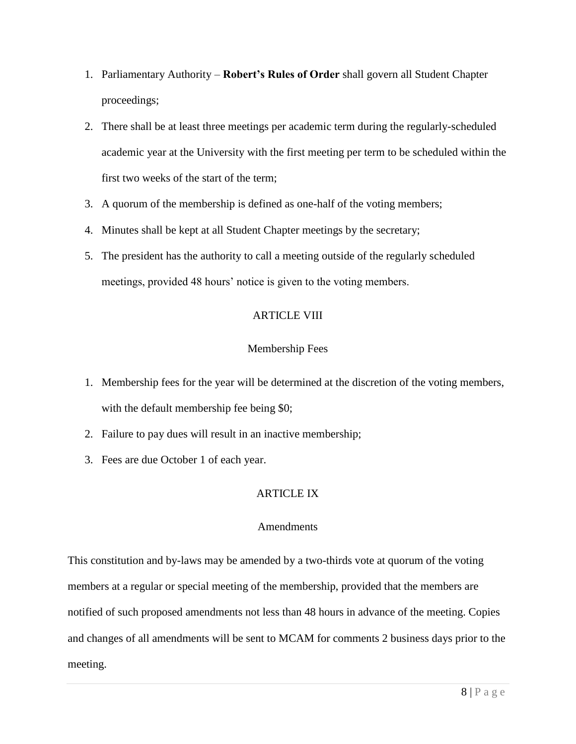- 1. Parliamentary Authority **Robert's Rules of Order** shall govern all Student Chapter proceedings;
- 2. There shall be at least three meetings per academic term during the regularly-scheduled academic year at the University with the first meeting per term to be scheduled within the first two weeks of the start of the term;
- 3. A quorum of the membership is defined as one-half of the voting members;
- 4. Minutes shall be kept at all Student Chapter meetings by the secretary;
- 5. The president has the authority to call a meeting outside of the regularly scheduled meetings, provided 48 hours' notice is given to the voting members.

## ARTICLE VIII

## Membership Fees

- 1. Membership fees for the year will be determined at the discretion of the voting members, with the default membership fee being \$0;
- 2. Failure to pay dues will result in an inactive membership;
- 3. Fees are due October 1 of each year.

## ARTICLE IX

## **Amendments**

This constitution and by-laws may be amended by a two-thirds vote at quorum of the voting members at a regular or special meeting of the membership, provided that the members are notified of such proposed amendments not less than 48 hours in advance of the meeting. Copies and changes of all amendments will be sent to MCAM for comments 2 business days prior to the meeting.